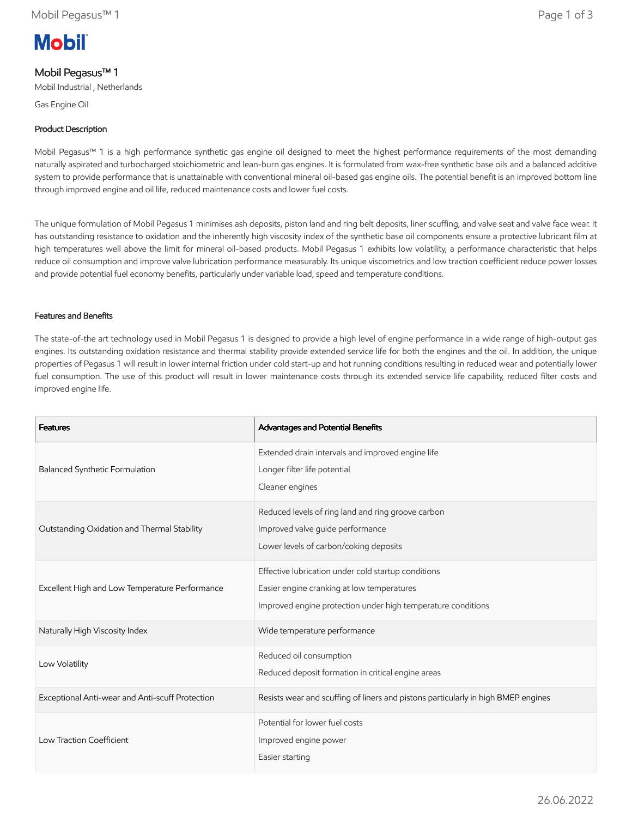# **Mobil**

## Mobil Pegasus™ 1

Mobil Industrial , Netherlands

Gas Engine Oil

## Product Description

Mobil Pegasus™ 1 is a high performance synthetic gas engine oil designed to meet the highest performance requirements of the most demanding naturally aspirated and turbocharged stoichiometric and lean-burn gas engines. It is formulated from wax-free synthetic base oils and a balanced additive system to provide performance that is unattainable with conventional mineral oil-based gas engine oils. The potential benefit is an improved bottom line through improved engine and oil life, reduced maintenance costs and lower fuel costs.

The unique formulation of Mobil Pegasus 1 minimises ash deposits, piston land and ring belt deposits, liner scuffing, and valve seat and valve face wear. It has outstanding resistance to oxidation and the inherently high viscosity index of the synthetic base oil components ensure a protective lubricant film at high temperatures well above the limit for mineral oil-based products. Mobil Pegasus 1 exhibits low volatility, a performance characteristic that helps reduce oil consumption and improve valve lubrication performance measurably. Its unique viscometrics and low traction coefficient reduce power losses and provide potential fuel economy benefits, particularly under variable load, speed and temperature conditions.

## Features and Benefits

The state-of-the art technology used in Mobil Pegasus 1 is designed to provide a high level of engine performance in a wide range of high-output gas engines. Its outstanding oxidation resistance and thermal stability provide extended service life for both the engines and the oil. In addition, the unique properties of Pegasus 1 will result in lower internal friction under cold start-up and hot running conditions resulting in reduced wear and potentially lower fuel consumption. The use of this product will result in lower maintenance costs through its extended service life capability, reduced filter costs and improved engine life.

| <b>Features</b>                                 | Advantages and Potential Benefits                                                                                                                                 |
|-------------------------------------------------|-------------------------------------------------------------------------------------------------------------------------------------------------------------------|
| Balanced Synthetic Formulation                  | Extended drain intervals and improved engine life<br>Longer filter life potential<br>Cleaner engines                                                              |
| Outstanding Oxidation and Thermal Stability     | Reduced levels of ring land and ring groove carbon<br>Improved valve guide performance<br>Lower levels of carbon/coking deposits                                  |
| Excellent High and Low Temperature Performance  | Effective lubrication under cold startup conditions<br>Easier engine cranking at low temperatures<br>Improved engine protection under high temperature conditions |
| Naturally High Viscosity Index                  | Wide temperature performance                                                                                                                                      |
| Low Volatility                                  | Reduced oil consumption<br>Reduced deposit formation in critical engine areas                                                                                     |
| Exceptional Anti-wear and Anti-scuff Protection | Resists wear and scuffing of liners and pistons particularly in high BMEP engines                                                                                 |
| Low Traction Coefficient                        | Potential for lower fuel costs<br>Improved engine power<br>Easier starting                                                                                        |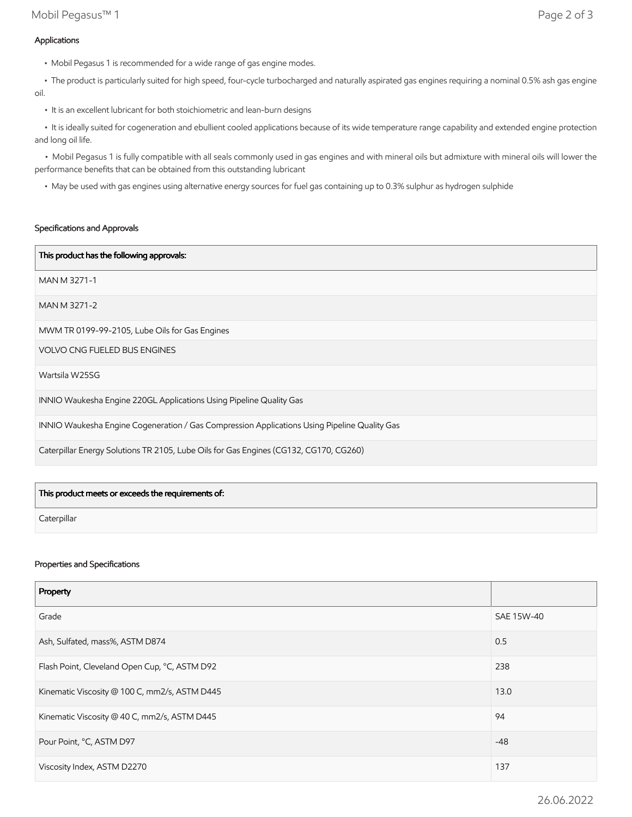• The product is particularly suited for high speed, four-cycle turbocharged and naturally aspirated gas engines requiring a nominal 0.5% ash gas engine oil.

• It is an excellent lubricant for both stoichiometric and lean-burn designs

 • It is ideally suited for cogeneration and ebullient cooled applications because of its wide temperature range capability and extended engine protection and long oil life.

 • Mobil Pegasus 1 is fully compatible with all seals commonly used in gas engines and with mineral oils but admixture with mineral oils will lower the performance benefits that can be obtained from this outstanding lubricant

• May be used with gas engines using alternative energy sources for fuel gas containing up to 0.3% sulphur as hydrogen sulphide

#### Specifications and Approvals

| This product has the following approvals:                                                    |
|----------------------------------------------------------------------------------------------|
| MAN M 3271-1                                                                                 |
| MAN M 3271-2                                                                                 |
| MWM TR 0199-99-2105, Lube Oils for Gas Engines                                               |
| <b>VOLVO CNG FUELED BUS ENGINES</b>                                                          |
| Wartsila W25SG                                                                               |
| INNIO Waukesha Engine 220GL Applications Using Pipeline Quality Gas                          |
| INNIO Waukesha Engine Cogeneration / Gas Compression Applications Using Pipeline Quality Gas |
| Caterpillar Energy Solutions TR 2105, Lube Oils for Gas Engines (CG132, CG170, CG260)        |

| This product meets or exceeds the requirements of: |  |
|----------------------------------------------------|--|
| Caterpillar                                        |  |

#### Properties and Specifications

| Property                                      |                   |
|-----------------------------------------------|-------------------|
| Grade                                         | <b>SAE 15W-40</b> |
| Ash, Sulfated, mass%, ASTM D874               | 0.5               |
| Flash Point, Cleveland Open Cup, °C, ASTM D92 | 238               |
| Kinematic Viscosity @ 100 C, mm2/s, ASTM D445 | 13.0              |
| Kinematic Viscosity @ 40 C, mm2/s, ASTM D445  | 94                |
| Pour Point, °C, ASTM D97                      | $-48$             |
| Viscosity Index, ASTM D2270                   | 137               |